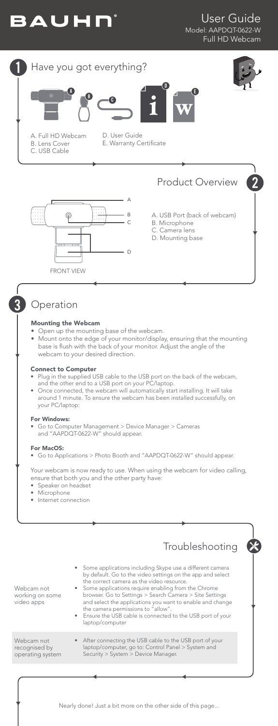





 $\overline{2}$ 



D. User Guide E. Warranty Certificate



# Product Overview

A. USB Port (back of webcam) B. Microphone

- C. Camera lens
- D. Mounting base

# Operation

3

### Mounting the Webcam

- Open up the mounting base of the webcam.
- Mount onto the edge of your monitor/display, ensuring that the mounting base is flush with the back of your monitor. Adjust the angle of the webcam to your desired direction.

#### Connect to Computer

- Plug in the supplied USB cable to the USB port on the back of the webcam, and the other end to a USB port on your PC/laptop.
- Once connected, the webcam will automatically start installing. It will take around 1 minute. To ensure the webcam has been installed successfully, on your PC/laptop:

## For Windows:

• Go to Computer Management > Device Manager > Cameras and "AAPDQT-0622-W" should appear.

#### For MacOS:

• Go to Applications > Photo Booth and "AAPDQT-0622-W" should appear.

Your webcam is now ready to use. When using the webcam for video calling, ensure that both you and the other party have:

- Speaker on headset
- Microphone
- Internet connection